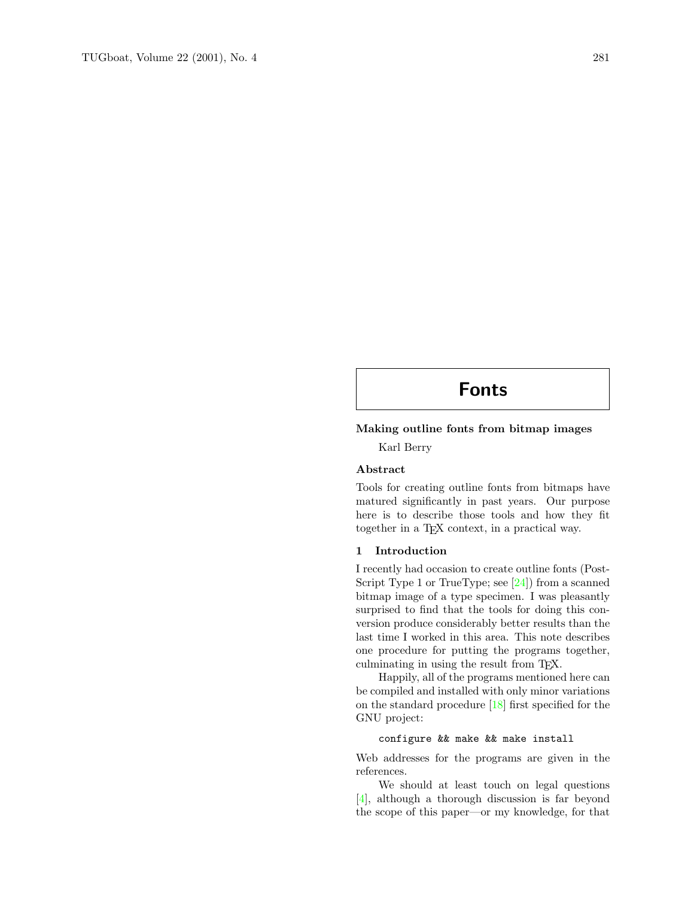## Fonts

#### Making outline fonts from bitmap images

Karl Berry

#### Abstract

Tools for creating outline fonts from bitmaps have matured significantly in past years. Our purpose here is to describe those tools and how they fit together in a TEX context, in a practical way.

#### 1 Introduction

I recently had occasion to create outline fonts (Post-Script Type 1 or TrueType; see [\[24\]](#page-4-0)) from a scanned bitmap image of a type specimen. I was pleasantly surprised to find that the tools for doing this conversion produce considerably better results than the last time I worked in this area. This note describes one procedure for putting the programs together, culminating in using the result from TEX.

Happily, all of the programs mentioned here can be compiled and installed with only minor variations on the standard procedure [\[18\]](#page-4-1) first specified for the GNU project:

#### configure && make && make install

Web addresses for the programs are given in the references.

We should at least touch on legal questions [\[4\]](#page-4-2), although a thorough discussion is far beyond the scope of this paper—or my knowledge, for that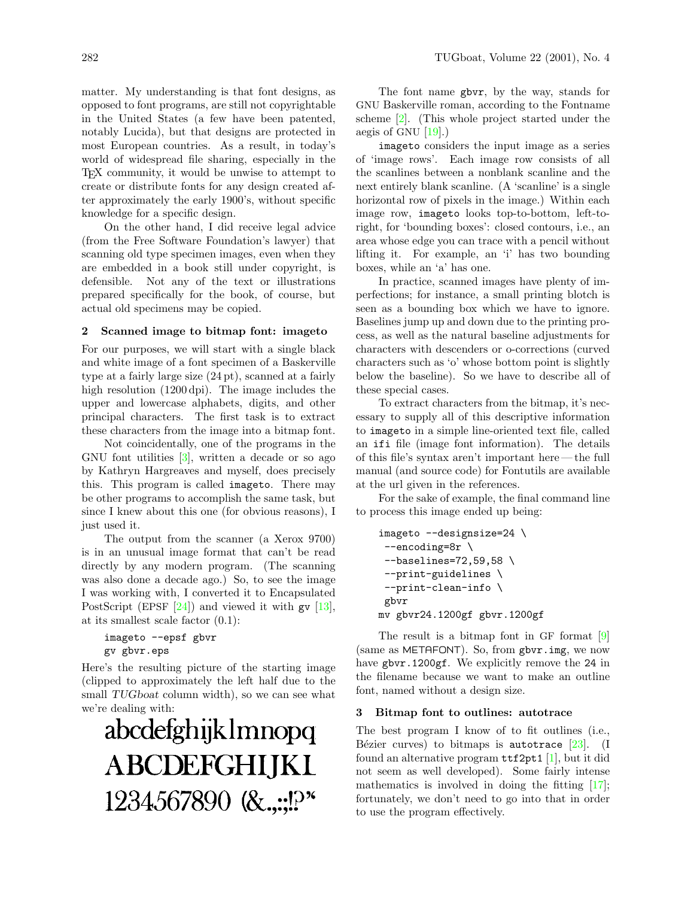matter. My understanding is that font designs, as opposed to font programs, are still not copyrightable in the United States (a few have been patented, notably Lucida), but that designs are protected in most European countries. As a result, in today's world of widespread file sharing, especially in the TEX community, it would be unwise to attempt to create or distribute fonts for any design created after approximately the early 1900's, without specific knowledge for a specific design.

On the other hand, I did receive legal advice (from the Free Software Foundation's lawyer) that scanning old type specimen images, even when they are embedded in a book still under copyright, is defensible. Not any of the text or illustrations prepared specifically for the book, of course, but actual old specimens may be copied.

#### 2 Scanned image to bitmap font: imageto

For our purposes, we will start with a single black and white image of a font specimen of a Baskerville type at a fairly large size (24 pt), scanned at a fairly high resolution (1200 dpi). The image includes the upper and lowercase alphabets, digits, and other principal characters. The first task is to extract these characters from the image into a bitmap font.

Not coincidentally, one of the programs in the GNU font utilities [\[3\]](#page-4-3), written a decade or so ago by Kathryn Hargreaves and myself, does precisely this. This program is called imageto. There may be other programs to accomplish the same task, but since I knew about this one (for obvious reasons), I just used it.

The output from the scanner (a Xerox 9700) is in an unusual image format that can't be read directly by any modern program. (The scanning was also done a decade ago.) So, to see the image I was working with, I converted it to Encapsulated PostScript (EPSF  $[24]$ ) and viewed it with gv  $[13]$ , at its smallest scale factor (0.1):

```
imageto --epsf gbvr
gv gbvr.eps
```
Here's the resulting picture of the starting image (clipped to approximately the left half due to the small TUGboat column width), so we can see what we're dealing with:

# abcdefghijklmnopq **ABCDEFGHIJKI** 1234567890 (&.,.;!?

The font name gbvr, by the way, stands for GNU Baskerville roman, according to the Fontname scheme [\[2\]](#page-4-5). (This whole project started under the aegis of GNU  $[19]$ .)

imageto considers the input image as a series of 'image rows'. Each image row consists of all the scanlines between a nonblank scanline and the next entirely blank scanline. (A 'scanline' is a single horizontal row of pixels in the image.) Within each image row, imageto looks top-to-bottom, left-toright, for 'bounding boxes': closed contours, i.e., an area whose edge you can trace with a pencil without lifting it. For example, an 'i' has two bounding boxes, while an 'a' has one.

In practice, scanned images have plenty of imperfections; for instance, a small printing blotch is seen as a bounding box which we have to ignore. Baselines jump up and down due to the printing process, as well as the natural baseline adjustments for characters with descenders or o-corrections (curved characters such as 'o' whose bottom point is slightly below the baseline). So we have to describe all of these special cases.

To extract characters from the bitmap, it's necessary to supply all of this descriptive information to imageto in a simple line-oriented text file, called an ifi file (image font information). The details of this file's syntax aren't important here — the full manual (and source code) for Fontutils are available at the url given in the references.

For the sake of example, the final command line to process this image ended up being:

```
imageto --designsize=24 \
 --encoding=8r \
--baselines=72,59,58 \
 --print-guidelines \
--print-clean-info \
gbvr
mv gbvr24.1200gf gbvr.1200gf
```
The result is a bitmap font in GF format [\[9\]](#page-4-7) (same as METAFONT). So, from gbvr.img, we now have gbvr.1200gf. We explicitly remove the 24 in the filename because we want to make an outline font, named without a design size.

#### 3 Bitmap font to outlines: autotrace

The best program I know of to fit outlines (i.e., Bézier curves) to bitmaps is autotrace  $[23]$ . (I found an alternative program  $ttf2pt1$  [\[1\]](#page-4-9), but it did not seem as well developed). Some fairly intense mathematics is involved in doing the fitting  $[17]$ ; fortunately, we don't need to go into that in order to use the program effectively.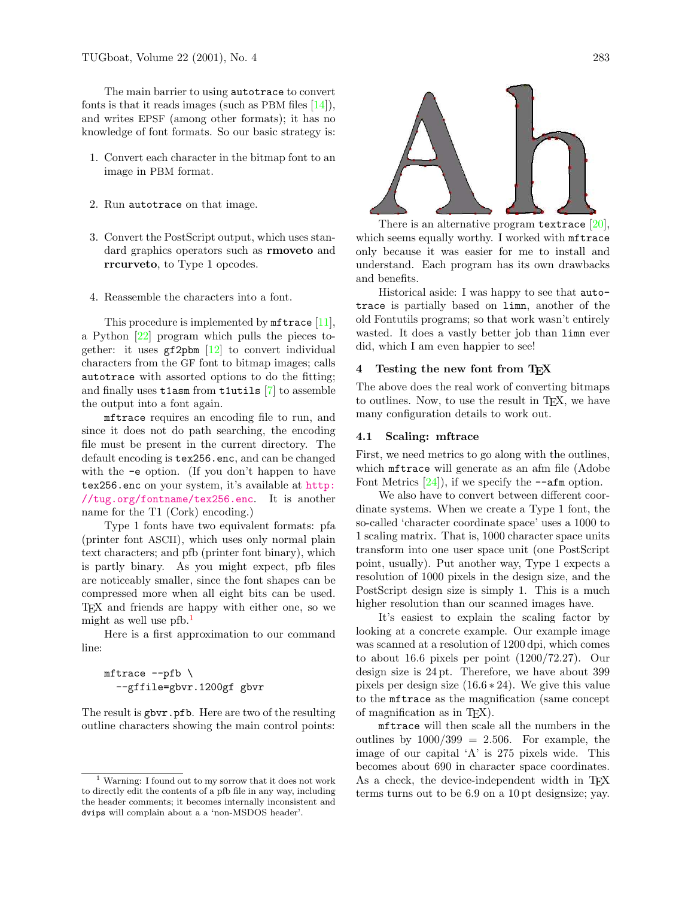The main barrier to using autotrace to convert fonts is that it reads images (such as PBM files  $[14]$ ), and writes EPSF (among other formats); it has no knowledge of font formats. So our basic strategy is:

- 1. Convert each character in the bitmap font to an image in PBM format.
- 2. Run autotrace on that image.
- 3. Convert the PostScript output, which uses standard graphics operators such as rmoveto and rrcurveto, to Type 1 opcodes.
- 4. Reassemble the characters into a font.

This procedure is implemented by **mftrace** [\[11\]](#page-4-12), a Python [\[22\]](#page-4-13) program which pulls the pieces together: it uses  $gf2pbm [12]$  $gf2pbm [12]$  to convert individual characters from the GF font to bitmap images; calls autotrace with assorted options to do the fitting; and finally uses t1asm from t1utils [\[7\]](#page-4-15) to assemble the output into a font again.

mftrace requires an encoding file to run, and since it does not do path searching, the encoding file must be present in the current directory. The default encoding is tex256.enc, and can be changed with the -e option. (If you don't happen to have tex256.enc on your system, it's available at [http:](http://tug.org/fontname/tex256.enc) [//tug.org/fontname/tex256.enc](http://tug.org/fontname/tex256.enc). It is another name for the T1 (Cork) encoding.)

Type 1 fonts have two equivalent formats: pfa (printer font ASCII), which uses only normal plain text characters; and pfb (printer font binary), which is partly binary. As you might expect, pfb files are noticeably smaller, since the font shapes can be compressed more when all eight bits can be used. TEX and friends are happy with either one, so we might as well use  $pfb.<sup>1</sup>$  $pfb.<sup>1</sup>$  $pfb.<sup>1</sup>$ 

Here is a first approximation to our command line:

#### $m$ ftrace  $-\text{pfb}$ --gffile=gbvr.1200gf gbvr

The result is gbvr.pfb. Here are two of the resulting outline characters showing the main control points:



There is an alternative program textrace  $[20]$ , which seems equally worthy. I worked with mftrace only because it was easier for me to install and understand. Each program has its own drawbacks and benefits.

Historical aside: I was happy to see that autotrace is partially based on limn, another of the old Fontutils programs; so that work wasn't entirely wasted. It does a vastly better job than limn ever did, which I am even happier to see!

#### 4 Testing the new font from TEX

The above does the real work of converting bitmaps to outlines. Now, to use the result in TEX, we have many configuration details to work out.

#### 4.1 Scaling: mftrace

First, we need metrics to go along with the outlines, which mftrace will generate as an afm file (Adobe Font Metrics  $[24]$ , if we specify the  $-\text{afm}$  option.

We also have to convert between different coordinate systems. When we create a Type 1 font, the so-called 'character coordinate space' uses a 1000 to 1 scaling matrix. That is, 1000 character space units transform into one user space unit (one PostScript point, usually). Put another way, Type 1 expects a resolution of 1000 pixels in the design size, and the PostScript design size is simply 1. This is a much higher resolution than our scanned images have.

It's easiest to explain the scaling factor by looking at a concrete example. Our example image was scanned at a resolution of 1200 dpi, which comes to about 16.6 pixels per point (1200/72.27). Our design size is 24 pt. Therefore, we have about 399 pixels per design size  $(16.6 * 24)$ . We give this value to the mftrace as the magnification (same concept of magnification as in TEX).

mftrace will then scale all the numbers in the outlines by  $1000/399 = 2.506$ . For example, the image of our capital 'A' is 275 pixels wide. This becomes about 690 in character space coordinates. As a check, the device-independent width in T<sub>E</sub>X terms turns out to be 6.9 on a 10 pt designsize; yay.

<span id="page-2-0"></span><sup>1</sup> Warning: I found out to my sorrow that it does not work to directly edit the contents of a pfb file in any way, including the header comments; it becomes internally inconsistent and dvips will complain about a a 'non-MSDOS header'.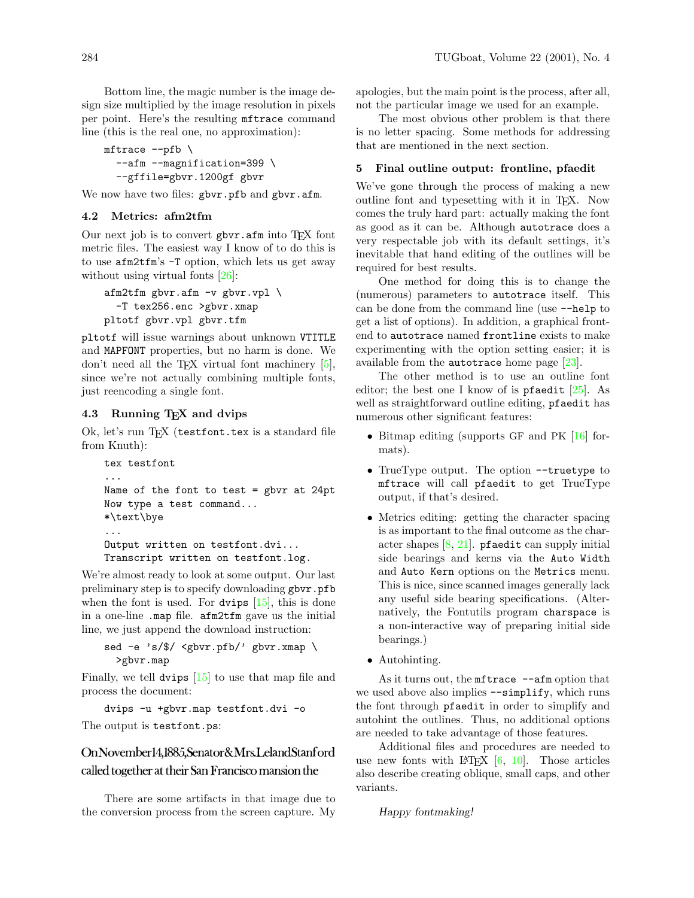Bottom line, the magic number is the image design size multiplied by the image resolution in pixels per point. Here's the resulting mftrace command line (this is the real one, no approximation):

```
mftrace --pfb \
  --afm --magnification=399 \
  --gffile=gbvr.1200gf gbvr
```
We now have two files: gbvr.pfb and gbvr.afm.

#### 4.2 Metrics: afm2tfm

Our next job is to convert gbvr.afm into TFX font metric files. The easiest way I know of to do this is to use afm2tfm's -T option, which lets us get away without using virtual fonts [\[26\]](#page-4-17):

```
afm2tfm gbyr.afm-v gbyr.vpl \-T tex256.enc >gbvr.xmap
pltotf gbvr.vpl gbvr.tfm
```
pltotf will issue warnings about unknown VTITLE and MAPFONT properties, but no harm is done. We don't need all the T<sub>EX</sub> virtual font machinery  $[5]$ , since we're not actually combining multiple fonts, just reencoding a single font.

#### 4.3 Running TEX and dvips

Ok, let's run TFX (testfont.tex is a standard file from Knuth):

```
tex testfont
...
Name of the font to test = gbvr at 24ptNow type a test command...
*\text\bye
...
Output written on testfont.dvi...
Transcript written on testfont.log.
```
We're almost ready to look at some output. Our last preliminary step is to specify downloading gbvr.pfb when the font is used. For dvips  $[15]$ , this is done in a one-line .map file. afm2tfm gave us the initial line, we just append the download instruction:

sed -e 's/\$/ <gbvr.pfb/' gbvr.xmap \ >gbvr.map

Finally, we tell dvips [\[15\]](#page-4-19) to use that map file and process the document:

dvips -u +gbvr.map testfont.dvi -o

The output is testfont.ps:

### OnNovember14,1885, Senator & Mrs. Leland Stanford called together at their San Francisco mansion the

There are some artifacts in that image due to the conversion process from the screen capture. My apologies, but the main point is the process, after all, not the particular image we used for an example.

The most obvious other problem is that there is no letter spacing. Some methods for addressing that are mentioned in the next section.

#### 5 Final outline output: frontline, pfaedit

We've gone through the process of making a new outline font and typesetting with it in TEX. Now comes the truly hard part: actually making the font as good as it can be. Although autotrace does a very respectable job with its default settings, it's inevitable that hand editing of the outlines will be required for best results.

One method for doing this is to change the (numerous) parameters to autotrace itself. This can be done from the command line (use --help to get a list of options). In addition, a graphical frontend to autotrace named frontline exists to make experimenting with the option setting easier; it is available from the autotrace home page  $[23]$ .

The other method is to use an outline font editor; the best one I know of is pfaedit  $[25]$ . As well as straightforward outline editing, **pfaedit** has numerous other significant features:

- Bitmap editing (supports GF and PK [\[16\]](#page-4-21) formats).
- TrueType output. The option --truetype to mftrace will call pfaedit to get TrueType output, if that's desired.
- Metrics editing: getting the character spacing is as important to the final outcome as the character shapes  $[8, 21]$  $[8, 21]$  $[8, 21]$ . **pfaedit** can supply initial side bearings and kerns via the Auto Width and Auto Kern options on the Metrics menu. This is nice, since scanned images generally lack any useful side bearing specifications. (Alternatively, the Fontutils program charspace is a non-interactive way of preparing initial side bearings.)
- Autohinting.

As it turns out, the mftrace  $---a$ fm option that we used above also implies --simplify, which runs the font through pfaedit in order to simplify and autohint the outlines. Thus, no additional options are needed to take advantage of those features.

Additional files and procedures are needed to use new fonts with  $\text{LATEX}$  [\[6,](#page-4-24) [10\]](#page-4-25). Those articles also describe creating oblique, small caps, and other variants.

```
Happy fontmaking!
```